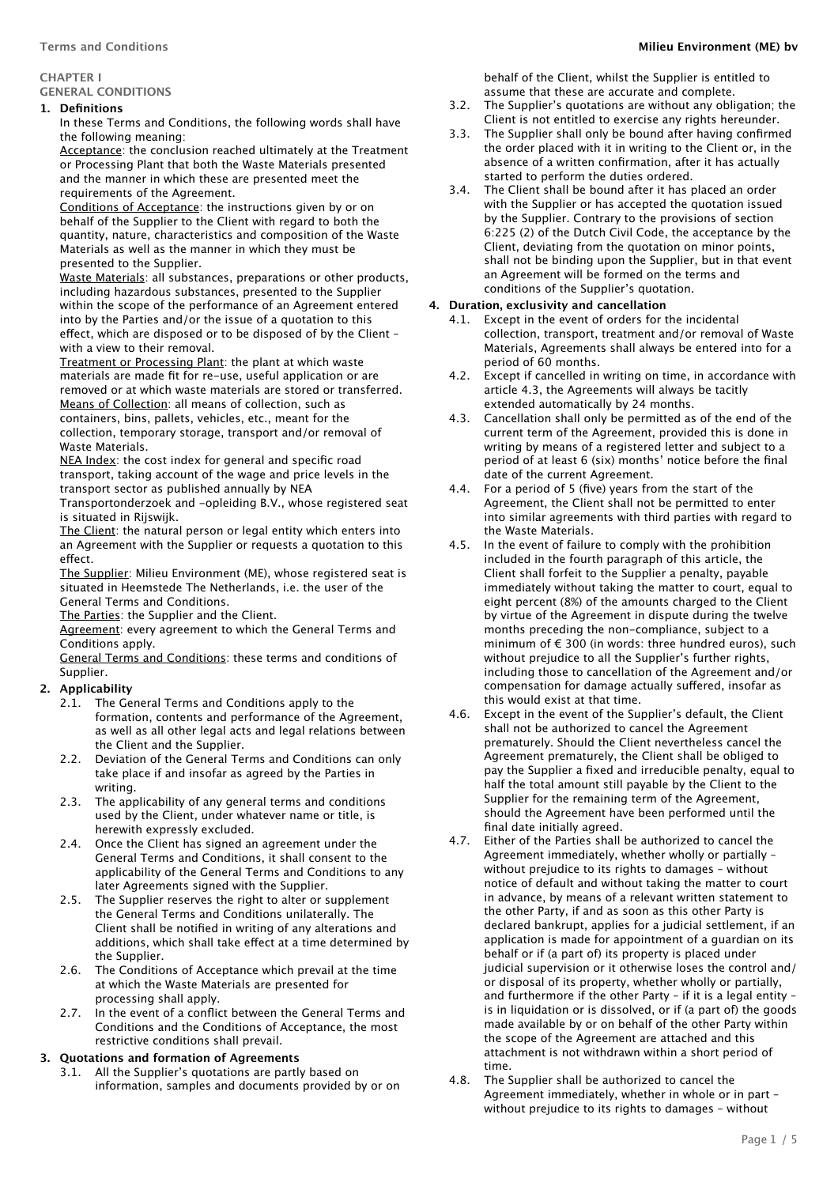# **GENERAL CONDITIONS**

# **1. Definitions**

In these Terms and Conditions, the following words shall have the following meaning:

Acceptance: the conclusion reached ultimately at the Treatment or Processing Plant that both the Waste Materials presented and the manner in which these are presented meet the requirements of the Agreement.

Conditions of Acceptance: the instructions given by or on behalf of the Supplier to the Client with regard to both the quantity, nature, characteristics and composition of the Waste Materials as well as the manner in which they must be presented to the Supplier.

Waste Materials: all substances, preparations or other products, including hazardous substances, presented to the Supplier within the scope of the performance of an Agreement entered into by the Parties and/or the issue of a quotation to this effect, which are disposed or to be disposed of by the Client with a view to their removal.

Treatment or Processing Plant: the plant at which waste materials are made fit for re-use, useful application or are removed or at which waste materials are stored or transferred.

Means of Collection: all means of collection, such as containers, bins, pallets, vehicles, etc., meant for the collection, temporary storage, transport and/or removal of Waste Materials.

NEA Index: the cost index for general and specific road transport, taking account of the wage and price levels in the transport sector as published annually by NEA

Transportonderzoek and -opleiding B.V., whose registered seat is situated in Rijswijk.

The Client: the natural person or legal entity which enters into an Agreement with the Supplier or requests a quotation to this effect

The Supplier: Milieu Environment (ME), whose registered seat is situated in Heemstede The Netherlands, i.e. the user of the General Terms and Conditions.

The Parties: the Supplier and the Client.

Agreement: every agreement to which the General Terms and Conditions apply.

General Terms and Conditions: these terms and conditions of Supplier.

# **2. Applicability**

- 2.1. The General Terms and Conditions apply to the formation, contents and performance of the Agreement, as well as all other legal acts and legal relations between the Client and the Supplier.
- 2.2. Deviation of the General Terms and Conditions can only take place if and insofar as agreed by the Parties in writing.
- 2.3. The applicability of any general terms and conditions used by the Client, under whatever name or title, is herewith expressly excluded.
- 2.4. Once the Client has signed an agreement under the General Terms and Conditions, it shall consent to the applicability of the General Terms and Conditions to any later Agreements signed with the Supplier.
- 2.5. The Supplier reserves the right to alter or supplement the General Terms and Conditions unilaterally. The Client shall be notified in writing of any alterations and additions, which shall take effect at a time determined by the Supplier.
- 2.6. The Conditions of Acceptance which prevail at the time at which the Waste Materials are presented for processing shall apply.
- 2.7. In the event of a conflict between the General Terms and Conditions and the Conditions of Acceptance, the most restrictive conditions shall prevail.

# **3. Quotations and formation of Agreements**

3.1. All the Supplier's quotations are partly based on information, samples and documents provided by or on behalf of the Client, whilst the Supplier is entitled to assume that these are accurate and complete.

- 3.2. The Supplier's quotations are without any obligation; the Client is not entitled to exercise any rights hereunder.
- 3.3. The Supplier shall only be bound after having confirmed the order placed with it in writing to the Client or, in the absence of a written confirmation, after it has actually started to perform the duties ordered.
- 3.4. The Client shall be bound after it has placed an order with the Supplier or has accepted the quotation issued by the Supplier. Contrary to the provisions of section 6:225 (2) of the Dutch Civil Code, the acceptance by the Client, deviating from the quotation on minor points, shall not be binding upon the Supplier, but in that event an Agreement will be formed on the terms and conditions of the Supplier's quotation.

#### **4. Duration, exclusivity and cancellation**

- Except in the event of orders for the incidental collection, transport, treatment and/or removal of Waste Materials, Agreements shall always be entered into for a period of 60 months.
- 4.2. Except if cancelled in writing on time, in accordance with article 4.3, the Agreements will always be tacitly extended automatically by 24 months.
- 4.3. Cancellation shall only be permitted as of the end of the current term of the Agreement, provided this is done in writing by means of a registered letter and subject to a period of at least 6 (six) months' notice before the final date of the current Agreement.
- 4.4. For a period of 5 (five) years from the start of the Agreement, the Client shall not be permitted to enter into similar agreements with third parties with regard to the Waste Materials.
- 4.5. In the event of failure to comply with the prohibition included in the fourth paragraph of this article, the Client shall forfeit to the Supplier a penalty, payable immediately without taking the matter to court, equal to eight percent (8%) of the amounts charged to the Client by virtue of the Agreement in dispute during the twelve months preceding the non-compliance, subject to a minimum of € 300 (in words: three hundred euros), such without prejudice to all the Supplier's further rights, including those to cancellation of the Agreement and/or compensation for damage actually sufered, insofar as this would exist at that time.
- 4.6. Except in the event of the Supplier's default, the Client shall not be authorized to cancel the Agreement prematurely. Should the Client nevertheless cancel the Agreement prematurely, the Client shall be obliged to pay the Supplier a fixed and irreducible penalty, equal to half the total amount still payable by the Client to the Supplier for the remaining term of the Agreement, should the Agreement have been performed until the final date initially agreed.
- 4.7. Either of the Parties shall be authorized to cancel the Agreement immediately, whether wholly or partially – without prejudice to its rights to damages – without notice of default and without taking the matter to court in advance, by means of a relevant written statement to the other Party, if and as soon as this other Party is declared bankrupt, applies for a judicial settlement, if an application is made for appointment of a guardian on its behalf or if (a part of) its property is placed under judicial supervision or it otherwise loses the control and/ or disposal of its property, whether wholly or partially, and furthermore if the other Party – if it is a legal entity – is in liquidation or is dissolved, or if (a part of) the goods made available by or on behalf of the other Party within the scope of the Agreement are attached and this attachment is not withdrawn within a short period of time.
- 4.8. The Supplier shall be authorized to cancel the Agreement immediately, whether in whole or in part – without prejudice to its rights to damages – without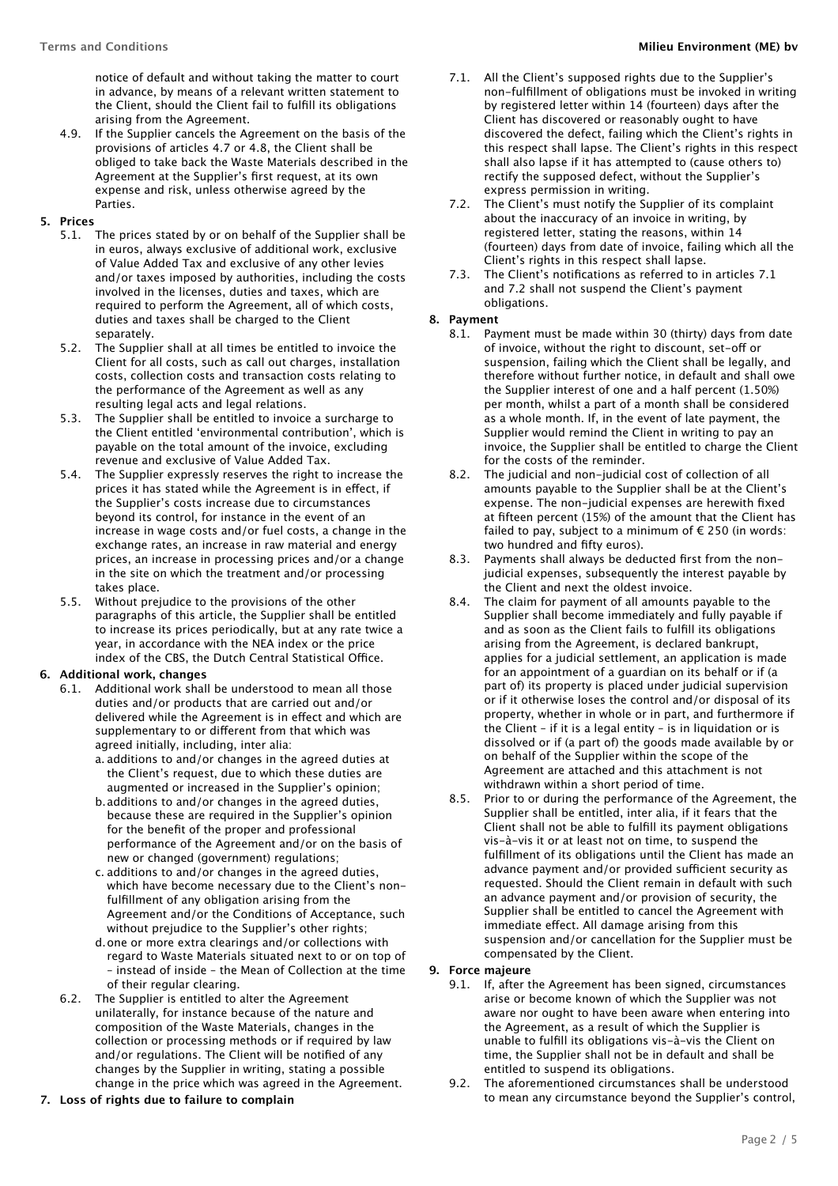notice of default and without taking the matter to court in advance, by means of a relevant written statement to the Client, should the Client fail to fulfill its obligations arising from the Agreement.

- 4.9. If the Supplier cancels the Agreement on the basis of the provisions of articles 4.7 or 4.8, the Client shall be obliged to take back the Waste Materials described in the Agreement at the Supplier's first request, at its own expense and risk, unless otherwise agreed by the Parties.
- **5. Prices**
	- 5.1. The prices stated by or on behalf of the Supplier shall be in euros, always exclusive of additional work, exclusive of Value Added Tax and exclusive of any other levies and/or taxes imposed by authorities, including the costs involved in the licenses, duties and taxes, which are required to perform the Agreement, all of which costs, duties and taxes shall be charged to the Client separately.
	- 5.2. The Supplier shall at all times be entitled to invoice the Client for all costs, such as call out charges, installation costs, collection costs and transaction costs relating to the performance of the Agreement as well as any resulting legal acts and legal relations.
	- 5.3. The Supplier shall be entitled to invoice a surcharge to the Client entitled 'environmental contribution', which is payable on the total amount of the invoice, excluding revenue and exclusive of Value Added Tax.
	- 5.4. The Supplier expressly reserves the right to increase the prices it has stated while the Agreement is in efect, if the Supplier's costs increase due to circumstances beyond its control, for instance in the event of an increase in wage costs and/or fuel costs, a change in the exchange rates, an increase in raw material and energy prices, an increase in processing prices and/or a change in the site on which the treatment and/or processing takes place.
	- 5.5. Without prejudice to the provisions of the other paragraphs of this article, the Supplier shall be entitled to increase its prices periodically, but at any rate twice a year, in accordance with the NEA index or the price index of the CBS, the Dutch Central Statistical Office.

# **6. Additional work, changes**

- 6.1. Additional work shall be understood to mean all those duties and/or products that are carried out and/or delivered while the Agreement is in efect and which are supplementary to or diferent from that which was agreed initially, including, inter alia:
	- a. additions to and/or changes in the agreed duties at the Client's request, due to which these duties are augmented or increased in the Supplier's opinion;
	- b.additions to and/or changes in the agreed duties, because these are required in the Supplier's opinion for the benefit of the proper and professional performance of the Agreement and/or on the basis of new or changed (government) regulations;
	- c. additions to and/or changes in the agreed duties, which have become necessary due to the Client's nonfulfillment of any obligation arising from the Agreement and/or the Conditions of Acceptance, such without prejudice to the Supplier's other rights;
	- d.one or more extra clearings and/or collections with regard to Waste Materials situated next to or on top of – instead of inside – the Mean of Collection at the time of their regular clearing.
- 6.2. The Supplier is entitled to alter the Agreement unilaterally, for instance because of the nature and composition of the Waste Materials, changes in the collection or processing methods or if required by law and/or regulations. The Client will be notified of any changes by the Supplier in writing, stating a possible change in the price which was agreed in the Agreement.
- **7. Loss of rights due to failure to complain**
- 7.1. All the Client's supposed rights due to the Supplier's non-fulfillment of obligations must be invoked in writing by registered letter within 14 (fourteen) days after the Client has discovered or reasonably ought to have discovered the defect, failing which the Client's rights in this respect shall lapse. The Client's rights in this respect shall also lapse if it has attempted to (cause others to) rectify the supposed defect, without the Supplier's express permission in writing.
- 7.2. The Client's must notify the Supplier of its complaint about the inaccuracy of an invoice in writing, by registered letter, stating the reasons, within 14 (fourteen) days from date of invoice, failing which all the Client's rights in this respect shall lapse.
- 7.3. The Client's notifications as referred to in articles 7.1 and 7.2 shall not suspend the Client's payment obligations.

#### **8. Payment**

- 8.1. Payment must be made within 30 (thirty) days from date of invoice, without the right to discount, set-off or suspension, failing which the Client shall be legally, and therefore without further notice, in default and shall owe the Supplier interest of one and a half percent (1.50%) per month, whilst a part of a month shall be considered as a whole month. If, in the event of late payment, the Supplier would remind the Client in writing to pay an invoice, the Supplier shall be entitled to charge the Client for the costs of the reminder.
- 8.2. The judicial and non-judicial cost of collection of all amounts payable to the Supplier shall be at the Client's expense. The non-judicial expenses are herewith fixed at fifteen percent (15%) of the amount that the Client has failed to pay, subject to a minimum of  $\epsilon$  250 (in words: two hundred and fifty euros).
- 8.3. Payments shall always be deducted first from the nonjudicial expenses, subsequently the interest payable by the Client and next the oldest invoice.
- 8.4. The claim for payment of all amounts payable to the Supplier shall become immediately and fully payable if and as soon as the Client fails to fulfill its obligations arising from the Agreement, is declared bankrupt, applies for a judicial settlement, an application is made for an appointment of a guardian on its behalf or if (a part of) its property is placed under judicial supervision or if it otherwise loses the control and/or disposal of its property, whether in whole or in part, and furthermore if the Client – if it is a legal entity – is in liquidation or is dissolved or if (a part of) the goods made available by or on behalf of the Supplier within the scope of the Agreement are attached and this attachment is not withdrawn within a short period of time.
- 8.5. Prior to or during the performance of the Agreement, the Supplier shall be entitled, inter alia, if it fears that the Client shall not be able to fulfill its payment obligations vis-à-vis it or at least not on time, to suspend the fulfillment of its obligations until the Client has made an advance payment and/or provided sufficient security as requested. Should the Client remain in default with such an advance payment and/or provision of security, the Supplier shall be entitled to cancel the Agreement with immediate efect. All damage arising from this suspension and/or cancellation for the Supplier must be compensated by the Client.

# **9. Force majeure**

- 9.1. If, after the Agreement has been signed, circumstances arise or become known of which the Supplier was not aware nor ought to have been aware when entering into the Agreement, as a result of which the Supplier is unable to fulfill its obligations vis-à-vis the Client on time, the Supplier shall not be in default and shall be entitled to suspend its obligations.
- 9.2. The aforementioned circumstances shall be understood to mean any circumstance beyond the Supplier's control,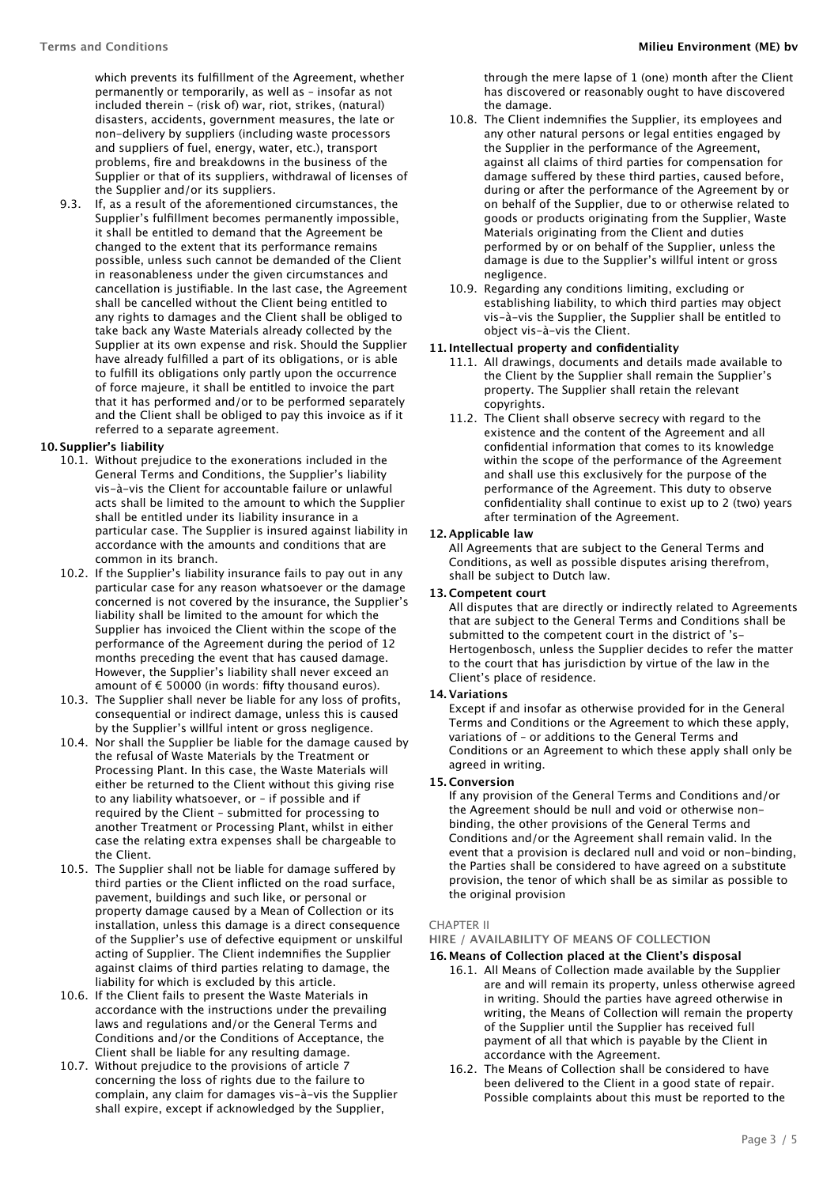which prevents its fulfillment of the Agreement, whether permanently or temporarily, as well as – insofar as not included therein – (risk of) war, riot, strikes, (natural) disasters, accidents, government measures, the late or non-delivery by suppliers (including waste processors and suppliers of fuel, energy, water, etc.), transport problems, fire and breakdowns in the business of the Supplier or that of its suppliers, withdrawal of licenses of the Supplier and/or its suppliers.

9.3. If, as a result of the aforementioned circumstances, the Supplier's fulfillment becomes permanently impossible, it shall be entitled to demand that the Agreement be changed to the extent that its performance remains possible, unless such cannot be demanded of the Client in reasonableness under the given circumstances and cancellation is justifiable. In the last case, the Agreement shall be cancelled without the Client being entitled to any rights to damages and the Client shall be obliged to take back any Waste Materials already collected by the Supplier at its own expense and risk. Should the Supplier have already fulfilled a part of its obligations, or is able to fulfill its obligations only partly upon the occurrence of force majeure, it shall be entitled to invoice the part that it has performed and/or to be performed separately and the Client shall be obliged to pay this invoice as if it referred to a separate agreement.

# **10. Supplier's liability**

- 10.1. Without prejudice to the exonerations included in the General Terms and Conditions, the Supplier's liability vis-à-vis the Client for accountable failure or unlawful acts shall be limited to the amount to which the Supplier shall be entitled under its liability insurance in a particular case. The Supplier is insured against liability in accordance with the amounts and conditions that are common in its branch.
- 10.2. If the Supplier's liability insurance fails to pay out in any particular case for any reason whatsoever or the damage concerned is not covered by the insurance, the Supplier's liability shall be limited to the amount for which the Supplier has invoiced the Client within the scope of the performance of the Agreement during the period of 12 months preceding the event that has caused damage. However, the Supplier's liability shall never exceed an amount of € 50000 (in words: fifty thousand euros).
- 10.3. The Supplier shall never be liable for any loss of profits, consequential or indirect damage, unless this is caused by the Supplier's willful intent or gross negligence.
- 10.4. Nor shall the Supplier be liable for the damage caused by the refusal of Waste Materials by the Treatment or Processing Plant. In this case, the Waste Materials will either be returned to the Client without this giving rise to any liability whatsoever, or – if possible and if required by the Client – submitted for processing to another Treatment or Processing Plant, whilst in either case the relating extra expenses shall be chargeable to the Client.
- 10.5. The Supplier shall not be liable for damage sufered by third parties or the Client inflicted on the road surface, pavement, buildings and such like, or personal or property damage caused by a Mean of Collection or its installation, unless this damage is a direct consequence of the Supplier's use of defective equipment or unskilful acting of Supplier. The Client indemnifies the Supplier against claims of third parties relating to damage, the liability for which is excluded by this article.
- 10.6. If the Client fails to present the Waste Materials in accordance with the instructions under the prevailing laws and regulations and/or the General Terms and Conditions and/or the Conditions of Acceptance, the Client shall be liable for any resulting damage.
- 10.7. Without prejudice to the provisions of article 7 concerning the loss of rights due to the failure to complain, any claim for damages vis-à-vis the Supplier shall expire, except if acknowledged by the Supplier,

through the mere lapse of 1 (one) month after the Client has discovered or reasonably ought to have discovered the damage.

- 10.8. The Client indemnifies the Supplier, its employees and any other natural persons or legal entities engaged by the Supplier in the performance of the Agreement, against all claims of third parties for compensation for damage suffered by these third parties, caused before, during or after the performance of the Agreement by or on behalf of the Supplier, due to or otherwise related to goods or products originating from the Supplier, Waste Materials originating from the Client and duties performed by or on behalf of the Supplier, unless the damage is due to the Supplier's willful intent or gross negligence.
- 10.9. Regarding any conditions limiting, excluding or establishing liability, to which third parties may object vis-à-vis the Supplier, the Supplier shall be entitled to object vis-à-vis the Client.

# **11. Intellectual property and confidentiality**

- 11.1. All drawings, documents and details made available to the Client by the Supplier shall remain the Supplier's property. The Supplier shall retain the relevant copyrights.
- 11.2. The Client shall observe secrecy with regard to the existence and the content of the Agreement and all confidential information that comes to its knowledge within the scope of the performance of the Agreement and shall use this exclusively for the purpose of the performance of the Agreement. This duty to observe confidentiality shall continue to exist up to 2 (two) years after termination of the Agreement.

# **12. Applicable law**

All Agreements that are subject to the General Terms and Conditions, as well as possible disputes arising therefrom, shall be subject to Dutch law.

#### **13. Competent court**

All disputes that are directly or indirectly related to Agreements that are subject to the General Terms and Conditions shall be submitted to the competent court in the district of 's-Hertogenbosch, unless the Supplier decides to refer the matter to the court that has jurisdiction by virtue of the law in the Client's place of residence.

# **14. Variations**

Except if and insofar as otherwise provided for in the General Terms and Conditions or the Agreement to which these apply, variations of – or additions to the General Terms and Conditions or an Agreement to which these apply shall only be agreed in writing.

#### **15. Conversion**

If any provision of the General Terms and Conditions and/or the Agreement should be null and void or otherwise nonbinding, the other provisions of the General Terms and Conditions and/or the Agreement shall remain valid. In the event that a provision is declared null and void or non-binding, the Parties shall be considered to have agreed on a substitute provision, the tenor of which shall be as similar as possible to the original provision

# CHAPTER II

**HIRE / AVAILABILITY OF MEANS OF COLLECTION**

#### **16. Means of Collection placed at the Client's disposal**

- 16.1. All Means of Collection made available by the Supplier are and will remain its property, unless otherwise agreed in writing. Should the parties have agreed otherwise in writing, the Means of Collection will remain the property of the Supplier until the Supplier has received full payment of all that which is payable by the Client in accordance with the Agreement.
- 16.2. The Means of Collection shall be considered to have been delivered to the Client in a good state of repair. Possible complaints about this must be reported to the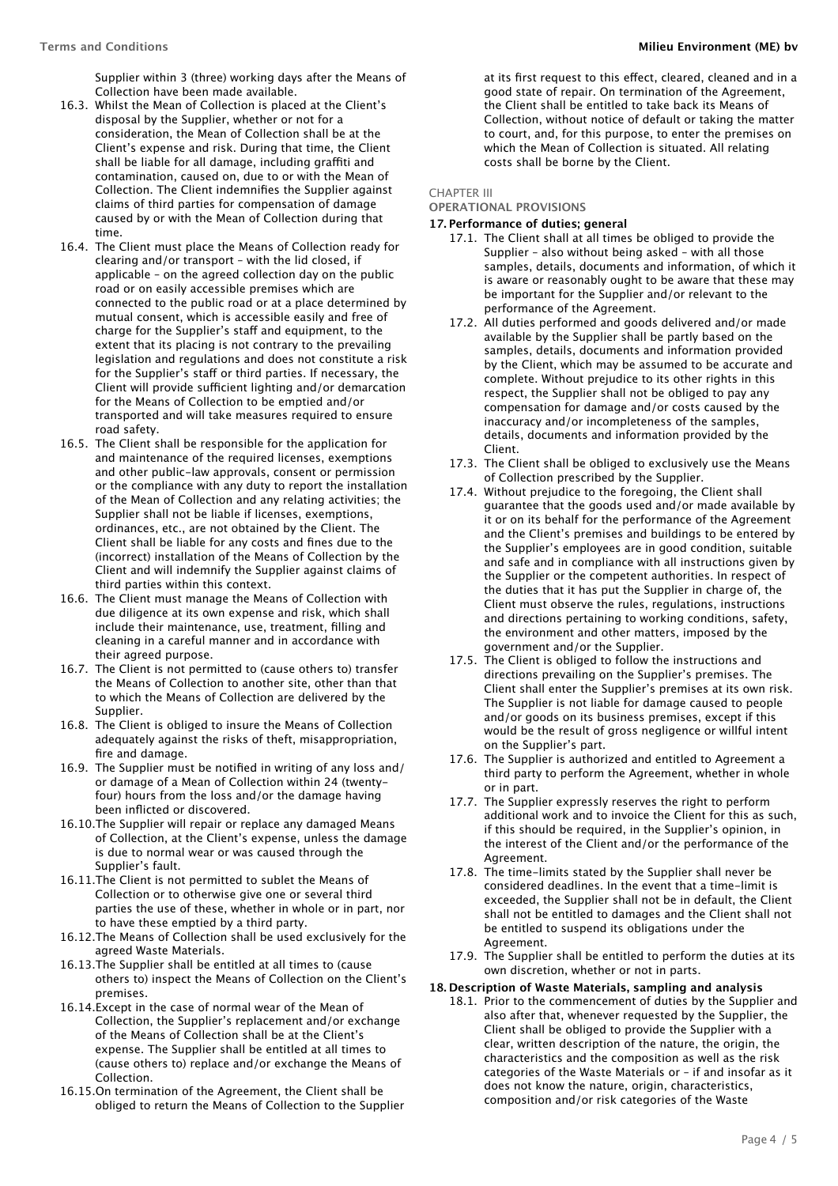Supplier within 3 (three) working days after the Means of Collection have been made available.

- 16.3. Whilst the Mean of Collection is placed at the Client's disposal by the Supplier, whether or not for a consideration, the Mean of Collection shall be at the Client's expense and risk. During that time, the Client shall be liable for all damage, including graffiti and contamination, caused on, due to or with the Mean of Collection. The Client indemnifies the Supplier against claims of third parties for compensation of damage caused by or with the Mean of Collection during that time.
- 16.4. The Client must place the Means of Collection ready for clearing and/or transport – with the lid closed, if applicable – on the agreed collection day on the public road or on easily accessible premises which are connected to the public road or at a place determined by mutual consent, which is accessible easily and free of charge for the Supplier's staff and equipment, to the extent that its placing is not contrary to the prevailing legislation and regulations and does not constitute a risk for the Supplier's staff or third parties. If necessary, the Client will provide sufficient lighting and/or demarcation for the Means of Collection to be emptied and/or transported and will take measures required to ensure road safety.
- 16.5. The Client shall be responsible for the application for and maintenance of the required licenses, exemptions and other public-law approvals, consent or permission or the compliance with any duty to report the installation of the Mean of Collection and any relating activities; the Supplier shall not be liable if licenses, exemptions, ordinances, etc., are not obtained by the Client. The Client shall be liable for any costs and fines due to the (incorrect) installation of the Means of Collection by the Client and will indemnify the Supplier against claims of third parties within this context.
- 16.6. The Client must manage the Means of Collection with due diligence at its own expense and risk, which shall include their maintenance, use, treatment, filling and cleaning in a careful manner and in accordance with their agreed purpose.
- 16.7. The Client is not permitted to (cause others to) transfer the Means of Collection to another site, other than that to which the Means of Collection are delivered by the Supplier.
- 16.8. The Client is obliged to insure the Means of Collection adequately against the risks of theft, misappropriation, fire and damage.
- 16.9. The Supplier must be notified in writing of any loss and/ or damage of a Mean of Collection within 24 (twentyfour) hours from the loss and/or the damage having been inflicted or discovered.
- 16.10.The Supplier will repair or replace any damaged Means of Collection, at the Client's expense, unless the damage is due to normal wear or was caused through the Supplier's fault.
- 16.11.The Client is not permitted to sublet the Means of Collection or to otherwise give one or several third parties the use of these, whether in whole or in part, nor to have these emptied by a third party.
- 16.12.The Means of Collection shall be used exclusively for the agreed Waste Materials.
- 16.13.The Supplier shall be entitled at all times to (cause others to) inspect the Means of Collection on the Client's premises.
- 16.14.Except in the case of normal wear of the Mean of Collection, the Supplier's replacement and/or exchange of the Means of Collection shall be at the Client's expense. The Supplier shall be entitled at all times to (cause others to) replace and/or exchange the Means of Collection.
- 16.15.On termination of the Agreement, the Client shall be obliged to return the Means of Collection to the Supplier

at its first request to this efect, cleared, cleaned and in a good state of repair. On termination of the Agreement, the Client shall be entitled to take back its Means of Collection, without notice of default or taking the matter to court, and, for this purpose, to enter the premises on which the Mean of Collection is situated. All relating costs shall be borne by the Client.

#### CHAPTER III

# **OPERATIONAL PROVISIONS**

#### **17. Performance of duties; general**

- 17.1. The Client shall at all times be obliged to provide the Supplier – also without being asked – with all those samples, details, documents and information, of which it is aware or reasonably ought to be aware that these may be important for the Supplier and/or relevant to the performance of the Agreement.
- 17.2. All duties performed and goods delivered and/or made available by the Supplier shall be partly based on the samples, details, documents and information provided by the Client, which may be assumed to be accurate and complete. Without prejudice to its other rights in this respect, the Supplier shall not be obliged to pay any compensation for damage and/or costs caused by the inaccuracy and/or incompleteness of the samples, details, documents and information provided by the Client.
- 17.3. The Client shall be obliged to exclusively use the Means of Collection prescribed by the Supplier.
- 17.4. Without prejudice to the foregoing, the Client shall guarantee that the goods used and/or made available by it or on its behalf for the performance of the Agreement and the Client's premises and buildings to be entered by the Supplier's employees are in good condition, suitable and safe and in compliance with all instructions given by the Supplier or the competent authorities. In respect of the duties that it has put the Supplier in charge of, the Client must observe the rules, regulations, instructions and directions pertaining to working conditions, safety, the environment and other matters, imposed by the government and/or the Supplier.
- 17.5. The Client is obliged to follow the instructions and directions prevailing on the Supplier's premises. The Client shall enter the Supplier's premises at its own risk. The Supplier is not liable for damage caused to people and/or goods on its business premises, except if this would be the result of gross negligence or willful intent on the Supplier's part.
- 17.6. The Supplier is authorized and entitled to Agreement a third party to perform the Agreement, whether in whole or in part.
- 17.7. The Supplier expressly reserves the right to perform additional work and to invoice the Client for this as such, if this should be required, in the Supplier's opinion, in the interest of the Client and/or the performance of the Agreement.
- 17.8. The time-limits stated by the Supplier shall never be considered deadlines. In the event that a time-limit is exceeded, the Supplier shall not be in default, the Client shall not be entitled to damages and the Client shall not be entitled to suspend its obligations under the Agreement.
- 17.9. The Supplier shall be entitled to perform the duties at its own discretion, whether or not in parts.

#### **18. Description of Waste Materials, sampling and analysis**

18.1. Prior to the commencement of duties by the Supplier and also after that, whenever requested by the Supplier, the Client shall be obliged to provide the Supplier with a clear, written description of the nature, the origin, the characteristics and the composition as well as the risk categories of the Waste Materials or – if and insofar as it does not know the nature, origin, characteristics, composition and/or risk categories of the Waste